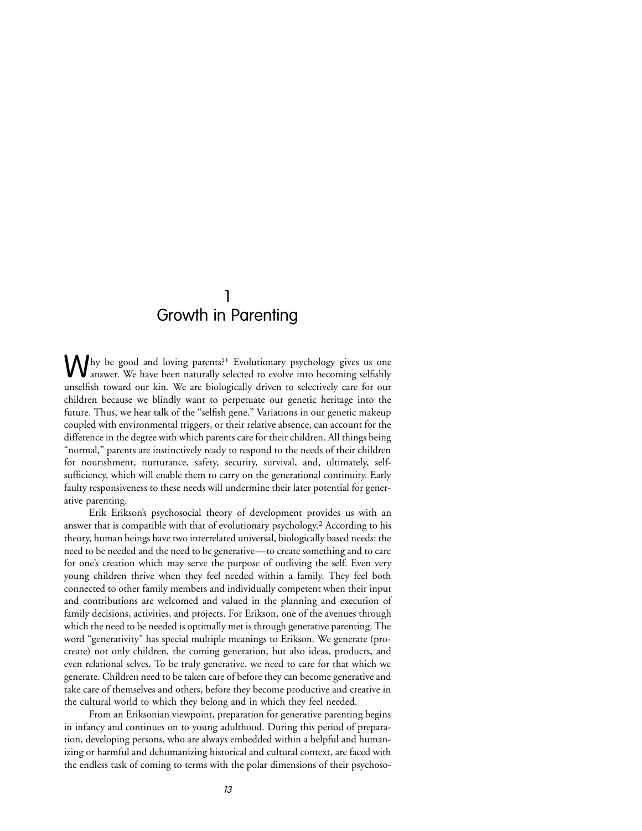Why be good and loving parents?<sup>1</sup> Evolutionary psychology gives us one<br>answer. We have been naturally selected to evolve into becoming selfishly unselfish toward our kin. We are biologically driven to selectively care for our children because we blindly want to perpetuate our genetic heritage into the future. Thus, we hear talk of the "selfish gene." Variations in our genetic makeup coupled with environmental triggers, or their relative absence, can account for the difference in the degree with which parents care for their children. All things being "normal," parents are instinctively ready to respond to the needs of their children for nourishment, nurturance, safety, security, survival, and, ultimately, selfsufficiency, which will enable them to carry on the generational continuity. Early faulty responsiveness to these needs will undermine their later potential for generative parenting.

Erik Erikson's psychosocial theory of development provides us with an answer that is compatible with that of evolutionary psychology.2 According to his theory, human beings have two interrelated universal, biologically based needs: the need to be needed and the need to be generative—to create something and to care for one's creation which may serve the purpose of outliving the self. Even very young children thrive when they feel needed within a family. They feel both connected to other family members and individually competent when their input and contributions are welcomed and valued in the planning and execution of family decisions, activities, and projects. For Erikson, one of the avenues through which the need to be needed is optimally met is through generative parenting. The word "generativity" has special multiple meanings to Erikson. We generate (procreate) not only children, the coming generation, but also ideas, products, and even relational selves. To be truly generative, we need to care for that which we generate. Children need to be taken care of before they can become generative and take care of themselves and others, before they become productive and creative in the cultural world to which they belong and in which they feel needed.

From an Eriksonian viewpoint, preparation for generative parenting begins in infancy and continues on to young adulthood. During this period of preparation, developing persons, who are always embedded within a helpful and humanizing or harmful and dehumanizing historical and cultural context, are faced with the endless task of coming to terms with the polar dimensions of their psychoso-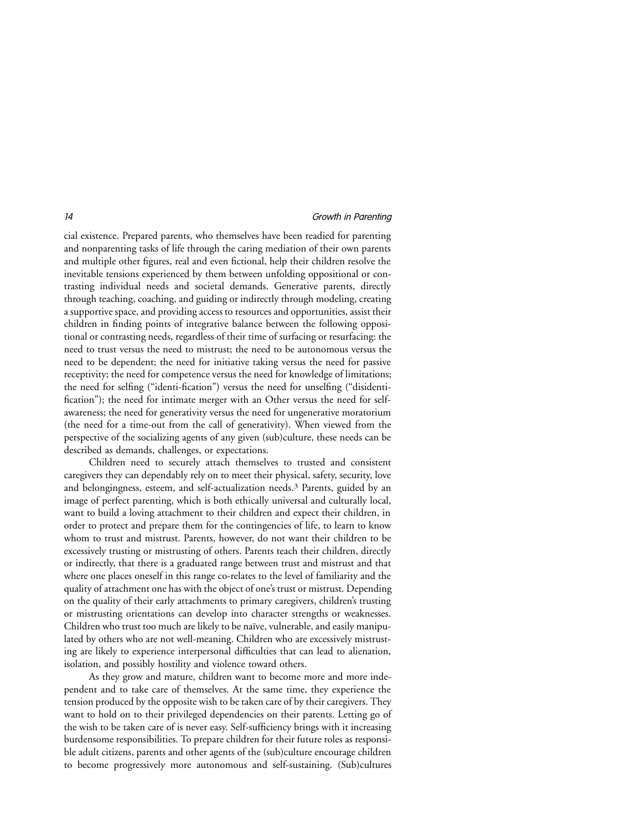cial existence. Prepared parents, who themselves have been readied for parenting and nonparenting tasks of life through the caring mediation of their own parents and multiple other figures, real and even fictional, help their children resolve the inevitable tensions experienced by them between unfolding oppositional or contrasting individual needs and societal demands. Generative parents, directly through teaching, coaching, and guiding or indirectly through modeling, creating a supportive space, and providing access to resources and opportunities, assist their children in finding points of integrative balance between the following oppositional or contrasting needs, regardless of their time of surfacing or resurfacing: the need to trust versus the need to mistrust; the need to be autonomous versus the need to be dependent; the need for initiative taking versus the need for passive receptivity; the need for competence versus the need for knowledge of limitations; the need for selfing ("identi-fication") versus the need for unselfing ("disidentification"); the need for intimate merger with an Other versus the need for selfawareness; the need for generativity versus the need for ungenerative moratorium (the need for a time-out from the call of generativity). When viewed from the perspective of the socializing agents of any given (sub)culture, these needs can be described as demands, challenges, or expectations.

Children need to securely attach themselves to trusted and consistent caregivers they can dependably rely on to meet their physical, safety, security, love and belongingness, esteem, and self-actualization needs.3 Parents, guided by an image of perfect parenting, which is both ethically universal and culturally local, want to build a loving attachment to their children and expect their children, in order to protect and prepare them for the contingencies of life, to learn to know whom to trust and mistrust. Parents, however, do not want their children to be excessively trusting or mistrusting of others. Parents teach their children, directly or indirectly, that there is a graduated range between trust and mistrust and that where one places oneself in this range co-relates to the level of familiarity and the quality of attachment one has with the object of one's trust or mistrust. Depending on the quality of their early attachments to primary caregivers, children's trusting or mistrusting orientations can develop into character strengths or weaknesses. Children who trust too much are likely to be naïve, vulnerable, and easily manipulated by others who are not well-meaning. Children who are excessively mistrusting are likely to experience interpersonal difficulties that can lead to alienation, isolation, and possibly hostility and violence toward others.

As they grow and mature, children want to become more and more independent and to take care of themselves. At the same time, they experience the tension produced by the opposite wish to be taken care of by their caregivers. They want to hold on to their privileged dependencies on their parents. Letting go of the wish to be taken care of is never easy. Self-sufficiency brings with it increasing burdensome responsibilities. To prepare children for their future roles as responsible adult citizens, parents and other agents of the (sub)culture encourage children to become progressively more autonomous and self-sustaining. (Sub)cultures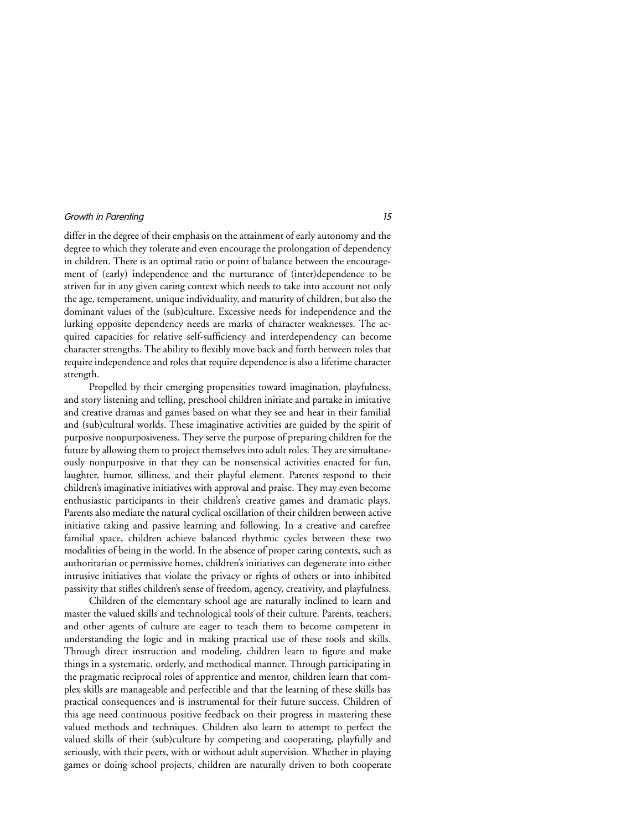## Growth in Parentina 2008 and 2009 and 2008 and 2009 and 2008 and 2009 and 2009 and 2008 and 2009 and 2008 and 2009 and 2008 and 2009 and 2008 and 2009 and 2009 and 2009 and 2009 and 2009 and 2009 and 2009 and 2009 and 2009

differ in the degree of their emphasis on the attainment of early autonomy and the degree to which they tolerate and even encourage the prolongation of dependency in children. There is an optimal ratio or point of balance between the encouragement of (early) independence and the nurturance of (inter)dependence to be striven for in any given caring context which needs to take into account not only the age, temperament, unique individuality, and maturity of children, but also the dominant values of the (sub)culture. Excessive needs for independence and the lurking opposite dependency needs are marks of character weaknesses. The acquired capacities for relative self-sufficiency and interdependency can become character strengths. The ability to flexibly move back and forth between roles that require independence and roles that require dependence is also a lifetime character strength.

Propelled by their emerging propensities toward imagination, playfulness, and story listening and telling, preschool children initiate and partake in imitative and creative dramas and games based on what they see and hear in their familial and (sub)cultural worlds. These imaginative activities are guided by the spirit of purposive nonpurposiveness. They serve the purpose of preparing children for the future by allowing them to project themselves into adult roles. They are simultaneously nonpurposive in that they can be nonsensical activities enacted for fun, laughter, humor, silliness, and their playful element. Parents respond to their children's imaginative initiatives with approval and praise. They may even become enthusiastic participants in their children's creative games and dramatic plays. Parents also mediate the natural cyclical oscillation of their children between active initiative taking and passive learning and following. In a creative and carefree familial space, children achieve balanced rhythmic cycles between these two modalities of being in the world. In the absence of proper caring contexts, such as authoritarian or permissive homes, children's initiatives can degenerate into either intrusive initiatives that violate the privacy or rights of others or into inhibited passivity that stifles children's sense of freedom, agency, creativity, and playfulness.

Children of the elementary school age are naturally inclined to learn and master the valued skills and technological tools of their culture. Parents, teachers, and other agents of culture are eager to teach them to become competent in understanding the logic and in making practical use of these tools and skills. Through direct instruction and modeling, children learn to figure and make things in a systematic, orderly, and methodical manner. Through participating in the pragmatic reciprocal roles of apprentice and mentor, children learn that complex skills are manageable and perfectible and that the learning of these skills has practical consequences and is instrumental for their future success. Children of this age need continuous positive feedback on their progress in mastering these valued methods and techniques. Children also learn to attempt to perfect the valued skills of their (sub)culture by competing and cooperating, playfully and seriously, with their peers, with or without adult supervision. Whether in playing games or doing school projects, children are naturally driven to both cooperate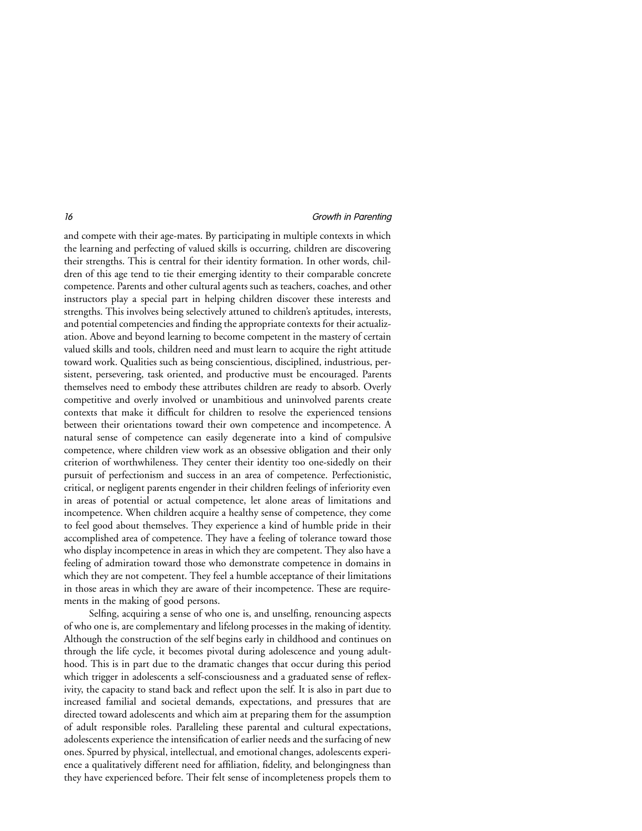and compete with their age-mates. By participating in multiple contexts in which the learning and perfecting of valued skills is occurring, children are discovering their strengths. This is central for their identity formation. In other words, children of this age tend to tie their emerging identity to their comparable concrete competence. Parents and other cultural agents such as teachers, coaches, and other instructors play a special part in helping children discover these interests and strengths. This involves being selectively attuned to children's aptitudes, interests, and potential competencies and finding the appropriate contexts for their actualization. Above and beyond learning to become competent in the mastery of certain valued skills and tools, children need and must learn to acquire the right attitude toward work. Qualities such as being conscientious, disciplined, industrious, persistent, persevering, task oriented, and productive must be encouraged. Parents themselves need to embody these attributes children are ready to absorb. Overly competitive and overly involved or unambitious and uninvolved parents create contexts that make it difficult for children to resolve the experienced tensions between their orientations toward their own competence and incompetence. A natural sense of competence can easily degenerate into a kind of compulsive competence, where children view work as an obsessive obligation and their only criterion of worthwhileness. They center their identity too one-sidedly on their pursuit of perfectionism and success in an area of competence. Perfectionistic, critical, or negligent parents engender in their children feelings of inferiority even in areas of potential or actual competence, let alone areas of limitations and incompetence. When children acquire a healthy sense of competence, they come to feel good about themselves. They experience a kind of humble pride in their accomplished area of competence. They have a feeling of tolerance toward those who display incompetence in areas in which they are competent. They also have a feeling of admiration toward those who demonstrate competence in domains in which they are not competent. They feel a humble acceptance of their limitations in those areas in which they are aware of their incompetence. These are requirements in the making of good persons.

Selfing, acquiring a sense of who one is, and unselfing, renouncing aspects of who one is, are complementary and lifelong processes in the making of identity. Although the construction of the self begins early in childhood and continues on through the life cycle, it becomes pivotal during adolescence and young adulthood. This is in part due to the dramatic changes that occur during this period which trigger in adolescents a self-consciousness and a graduated sense of reflexivity, the capacity to stand back and reflect upon the self. It is also in part due to increased familial and societal demands, expectations, and pressures that are directed toward adolescents and which aim at preparing them for the assumption of adult responsible roles. Paralleling these parental and cultural expectations, adolescents experience the intensification of earlier needs and the surfacing of new ones. Spurred by physical, intellectual, and emotional changes, adolescents experience a qualitatively different need for affiliation, fidelity, and belongingness than they have experienced before. Their felt sense of incompleteness propels them to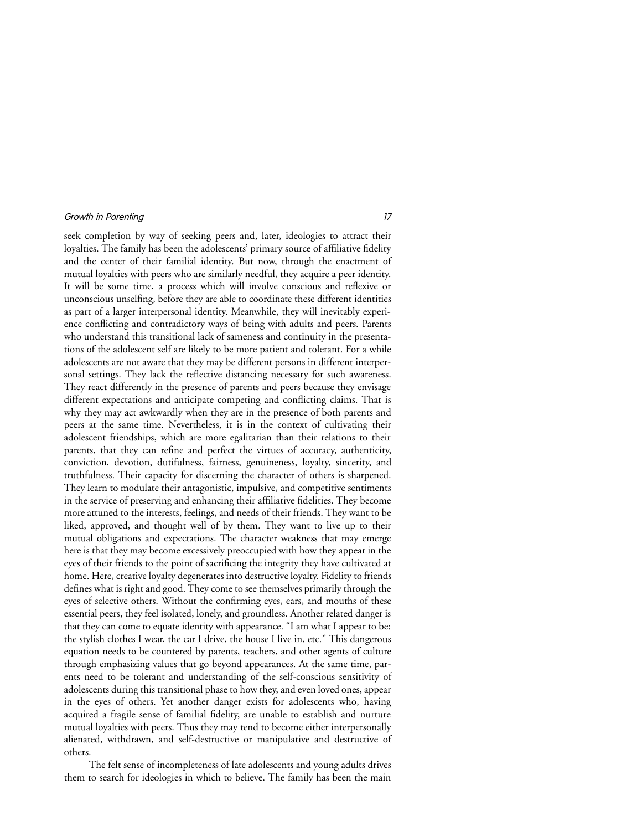# Growth in Parenting 2008 and 2008 and 2008 and 2008 and 2008 and 2008 and 2008 and 2008 and 2008 and 2008 and 2008 and 2008 and 2008 and 2008 and 2008 and 2008 and 2008 and 2008 and 2008 and 2008 and 2008 and 2008 and 2008

seek completion by way of seeking peers and, later, ideologies to attract their loyalties. The family has been the adolescents' primary source of affiliative fidelity and the center of their familial identity. But now, through the enactment of mutual loyalties with peers who are similarly needful, they acquire a peer identity. It will be some time, a process which will involve conscious and reflexive or unconscious unselfing, before they are able to coordinate these different identities as part of a larger interpersonal identity. Meanwhile, they will inevitably experience conflicting and contradictory ways of being with adults and peers. Parents who understand this transitional lack of sameness and continuity in the presentations of the adolescent self are likely to be more patient and tolerant. For a while adolescents are not aware that they may be different persons in different interpersonal settings. They lack the reflective distancing necessary for such awareness. They react differently in the presence of parents and peers because they envisage different expectations and anticipate competing and conflicting claims. That is why they may act awkwardly when they are in the presence of both parents and peers at the same time. Nevertheless, it is in the context of cultivating their adolescent friendships, which are more egalitarian than their relations to their parents, that they can refine and perfect the virtues of accuracy, authenticity, conviction, devotion, dutifulness, fairness, genuineness, loyalty, sincerity, and truthfulness. Their capacity for discerning the character of others is sharpened. They learn to modulate their antagonistic, impulsive, and competitive sentiments in the service of preserving and enhancing their affiliative fidelities. They become more attuned to the interests, feelings, and needs of their friends. They want to be liked, approved, and thought well of by them. They want to live up to their mutual obligations and expectations. The character weakness that may emerge here is that they may become excessively preoccupied with how they appear in the eyes of their friends to the point of sacrificing the integrity they have cultivated at home. Here, creative loyalty degenerates into destructive loyalty. Fidelity to friends defines what is right and good. They come to see themselves primarily through the eyes of selective others. Without the confirming eyes, ears, and mouths of these essential peers, they feel isolated, lonely, and groundless. Another related danger is that they can come to equate identity with appearance. "I am what I appear to be: the stylish clothes I wear, the car I drive, the house I live in, etc." This dangerous equation needs to be countered by parents, teachers, and other agents of culture through emphasizing values that go beyond appearances. At the same time, parents need to be tolerant and understanding of the self-conscious sensitivity of adolescents during this transitional phase to how they, and even loved ones, appear in the eyes of others. Yet another danger exists for adolescents who, having acquired a fragile sense of familial fidelity, are unable to establish and nurture mutual loyalties with peers. Thus they may tend to become either interpersonally alienated, withdrawn, and self-destructive or manipulative and destructive of others.

The felt sense of incompleteness of late adolescents and young adults drives them to search for ideologies in which to believe. The family has been the main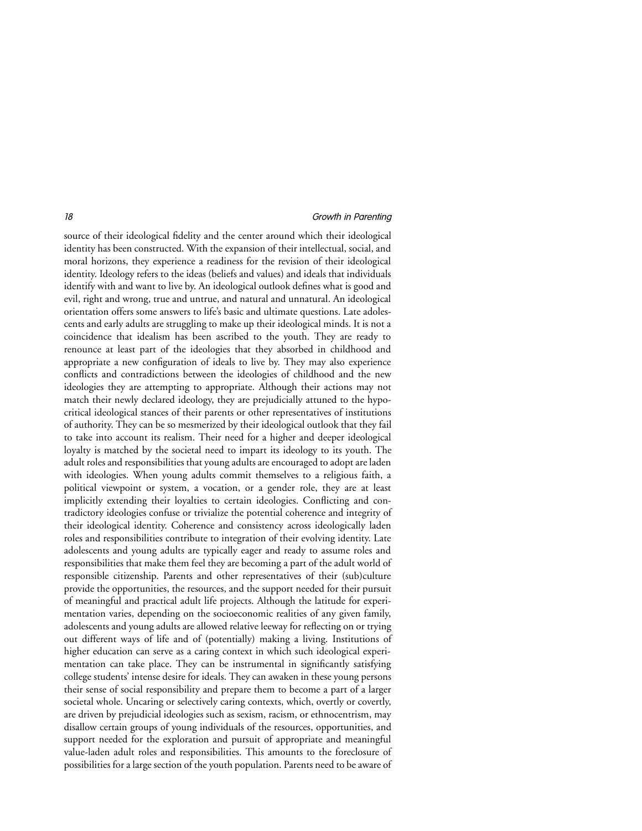source of their ideological fidelity and the center around which their ideological identity has been constructed. With the expansion of their intellectual, social, and moral horizons, they experience a readiness for the revision of their ideological identity. Ideology refers to the ideas (beliefs and values) and ideals that individuals identify with and want to live by. An ideological outlook defines what is good and evil, right and wrong, true and untrue, and natural and unnatural. An ideological orientation offers some answers to life's basic and ultimate questions. Late adolescents and early adults are struggling to make up their ideological minds. It is not a coincidence that idealism has been ascribed to the youth. They are ready to renounce at least part of the ideologies that they absorbed in childhood and appropriate a new configuration of ideals to live by. They may also experience conflicts and contradictions between the ideologies of childhood and the new ideologies they are attempting to appropriate. Although their actions may not match their newly declared ideology, they are prejudicially attuned to the hypocritical ideological stances of their parents or other representatives of institutions of authority. They can be so mesmerized by their ideological outlook that they fail to take into account its realism. Their need for a higher and deeper ideological loyalty is matched by the societal need to impart its ideology to its youth. The adult roles and responsibilities that young adults are encouraged to adopt are laden with ideologies. When young adults commit themselves to a religious faith, a political viewpoint or system, a vocation, or a gender role, they are at least implicitly extending their loyalties to certain ideologies. Conflicting and contradictory ideologies confuse or trivialize the potential coherence and integrity of their ideological identity. Coherence and consistency across ideologically laden roles and responsibilities contribute to integration of their evolving identity. Late adolescents and young adults are typically eager and ready to assume roles and responsibilities that make them feel they are becoming a part of the adult world of responsible citizenship. Parents and other representatives of their (sub)culture provide the opportunities, the resources, and the support needed for their pursuit of meaningful and practical adult life projects. Although the latitude for experimentation varies, depending on the socioeconomic realities of any given family, adolescents and young adults are allowed relative leeway for reflecting on or trying out different ways of life and of (potentially) making a living. Institutions of higher education can serve as a caring context in which such ideological experimentation can take place. They can be instrumental in significantly satisfying college students' intense desire for ideals. They can awaken in these young persons their sense of social responsibility and prepare them to become a part of a larger societal whole. Uncaring or selectively caring contexts, which, overtly or covertly, are driven by prejudicial ideologies such as sexism, racism, or ethnocentrism, may disallow certain groups of young individuals of the resources, opportunities, and support needed for the exploration and pursuit of appropriate and meaningful value-laden adult roles and responsibilities. This amounts to the foreclosure of possibilities for a large section of the youth population. Parents need to be aware of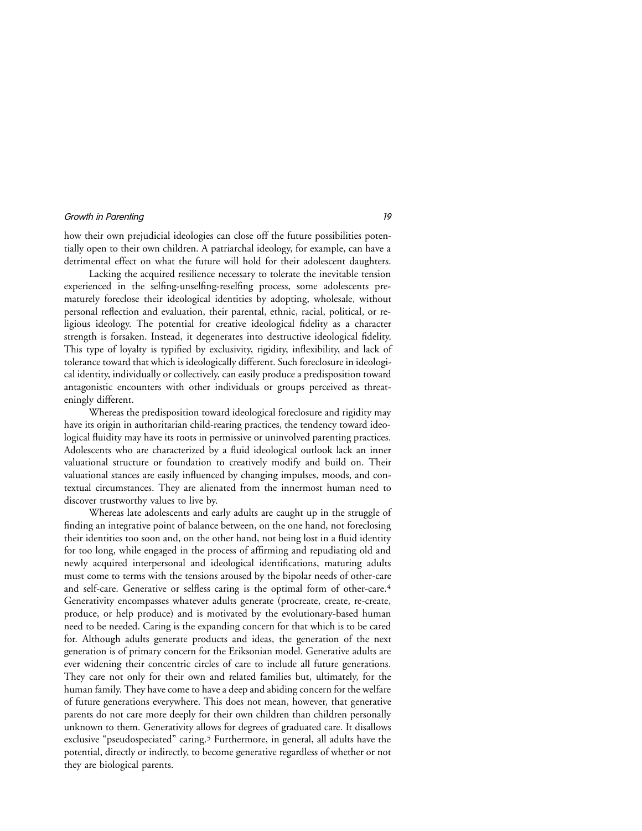# Growth in Parenting 2008 and the state of the state of the state of the state of the state of the state of the state of the state of the state of the state of the state of the state of the state of the state of the state o

how their own prejudicial ideologies can close off the future possibilities potentially open to their own children. A patriarchal ideology, for example, can have a detrimental effect on what the future will hold for their adolescent daughters.

Lacking the acquired resilience necessary to tolerate the inevitable tension experienced in the selfing-unselfing-reselfing process, some adolescents prematurely foreclose their ideological identities by adopting, wholesale, without personal reflection and evaluation, their parental, ethnic, racial, political, or religious ideology. The potential for creative ideological fidelity as a character strength is forsaken. Instead, it degenerates into destructive ideological fidelity. This type of loyalty is typified by exclusivity, rigidity, inflexibility, and lack of tolerance toward that which is ideologically different. Such foreclosure in ideological identity, individually or collectively, can easily produce a predisposition toward antagonistic encounters with other individuals or groups perceived as threateningly different.

Whereas the predisposition toward ideological foreclosure and rigidity may have its origin in authoritarian child-rearing practices, the tendency toward ideological fluidity may have its roots in permissive or uninvolved parenting practices. Adolescents who are characterized by a fluid ideological outlook lack an inner valuational structure or foundation to creatively modify and build on. Their valuational stances are easily influenced by changing impulses, moods, and contextual circumstances. They are alienated from the innermost human need to discover trustworthy values to live by.

Whereas late adolescents and early adults are caught up in the struggle of finding an integrative point of balance between, on the one hand, not foreclosing their identities too soon and, on the other hand, not being lost in a fluid identity for too long, while engaged in the process of affirming and repudiating old and newly acquired interpersonal and ideological identifications, maturing adults must come to terms with the tensions aroused by the bipolar needs of other-care and self-care. Generative or selfless caring is the optimal form of other-care.<sup>4</sup> Generativity encompasses whatever adults generate (procreate, create, re-create, produce, or help produce) and is motivated by the evolutionary-based human need to be needed. Caring is the expanding concern for that which is to be cared for. Although adults generate products and ideas, the generation of the next generation is of primary concern for the Eriksonian model. Generative adults are ever widening their concentric circles of care to include all future generations. They care not only for their own and related families but, ultimately, for the human family. They have come to have a deep and abiding concern for the welfare of future generations everywhere. This does not mean, however, that generative parents do not care more deeply for their own children than children personally unknown to them. Generativity allows for degrees of graduated care. It disallows exclusive "pseudospeciated" caring.<sup>5</sup> Furthermore, in general, all adults have the potential, directly or indirectly, to become generative regardless of whether or not they are biological parents.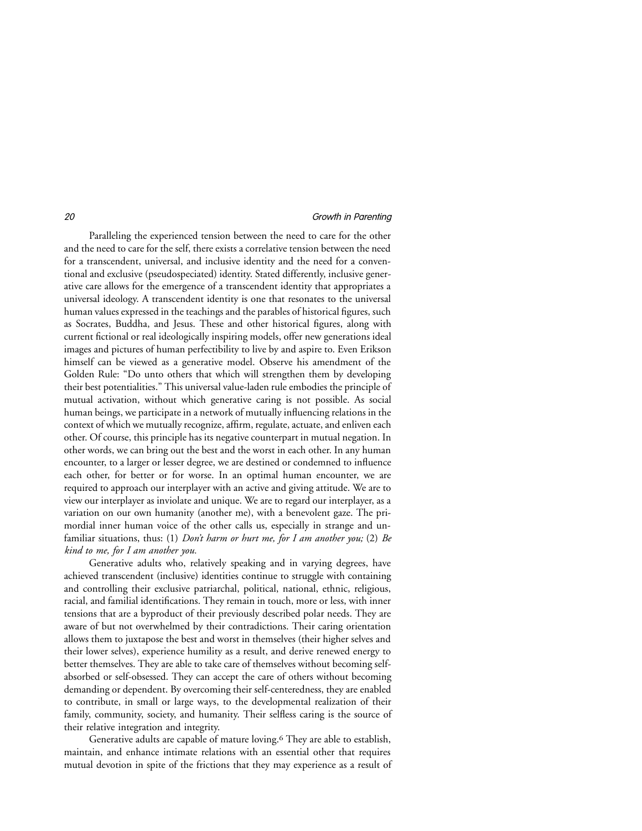Paralleling the experienced tension between the need to care for the other and the need to care for the self, there exists a correlative tension between the need for a transcendent, universal, and inclusive identity and the need for a conventional and exclusive (pseudospeciated) identity. Stated differently, inclusive generative care allows for the emergence of a transcendent identity that appropriates a universal ideology. A transcendent identity is one that resonates to the universal human values expressed in the teachings and the parables of historical figures, such as Socrates, Buddha, and Jesus. These and other historical figures, along with current fictional or real ideologically inspiring models, offer new generations ideal images and pictures of human perfectibility to live by and aspire to. Even Erikson himself can be viewed as a generative model. Observe his amendment of the Golden Rule: "Do unto others that which will strengthen them by developing their best potentialities." This universal value-laden rule embodies the principle of mutual activation, without which generative caring is not possible. As social human beings, we participate in a network of mutually influencing relations in the context of which we mutually recognize, affirm, regulate, actuate, and enliven each other. Of course, this principle has its negative counterpart in mutual negation. In other words, we can bring out the best and the worst in each other. In any human encounter, to a larger or lesser degree, we are destined or condemned to influence each other, for better or for worse. In an optimal human encounter, we are required to approach our interplayer with an active and giving attitude. We are to view our interplayer as inviolate and unique. We are to regard our interplayer, as a variation on our own humanity (another me), with a benevolent gaze. The primordial inner human voice of the other calls us, especially in strange and unfamiliar situations, thus: (1) *Don't harm or hurt me, for I am another you;* (2) *Be kind to me, for I am another you.*

Generative adults who, relatively speaking and in varying degrees, have achieved transcendent (inclusive) identities continue to struggle with containing and controlling their exclusive patriarchal, political, national, ethnic, religious, racial, and familial identifications. They remain in touch, more or less, with inner tensions that are a byproduct of their previously described polar needs. They are aware of but not overwhelmed by their contradictions. Their caring orientation allows them to juxtapose the best and worst in themselves (their higher selves and their lower selves), experience humility as a result, and derive renewed energy to better themselves. They are able to take care of themselves without becoming selfabsorbed or self-obsessed. They can accept the care of others without becoming demanding or dependent. By overcoming their self-centeredness, they are enabled to contribute, in small or large ways, to the developmental realization of their family, community, society, and humanity. Their selfless caring is the source of their relative integration and integrity.

Generative adults are capable of mature loving.6 They are able to establish, maintain, and enhance intimate relations with an essential other that requires mutual devotion in spite of the frictions that they may experience as a result of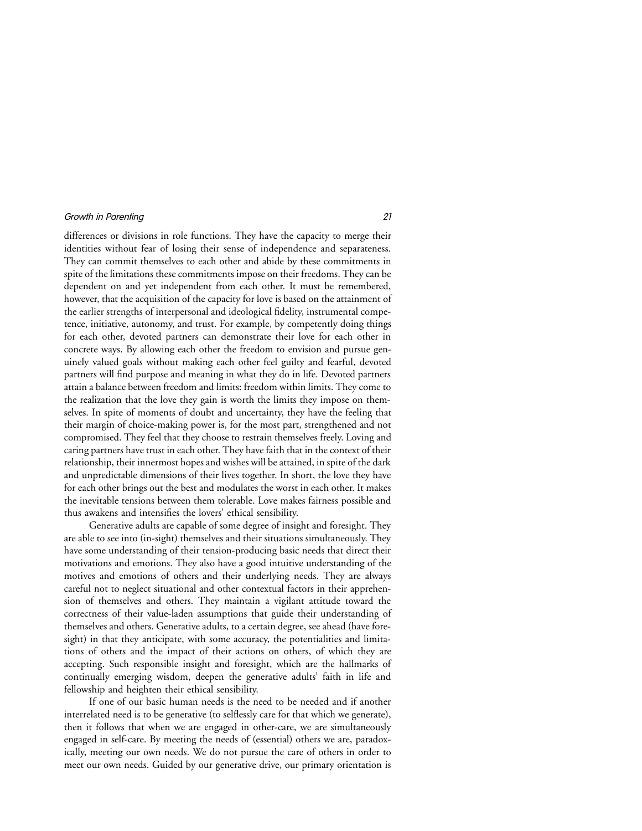differences or divisions in role functions. They have the capacity to merge their identities without fear of losing their sense of independence and separateness. They can commit themselves to each other and abide by these commitments in spite of the limitations these commitments impose on their freedoms. They can be dependent on and yet independent from each other. It must be remembered, however, that the acquisition of the capacity for love is based on the attainment of the earlier strengths of interpersonal and ideological fidelity, instrumental competence, initiative, autonomy, and trust. For example, by competently doing things for each other, devoted partners can demonstrate their love for each other in concrete ways. By allowing each other the freedom to envision and pursue genuinely valued goals without making each other feel guilty and fearful, devoted partners will find purpose and meaning in what they do in life. Devoted partners attain a balance between freedom and limits: freedom within limits. They come to the realization that the love they gain is worth the limits they impose on themselves. In spite of moments of doubt and uncertainty, they have the feeling that their margin of choice-making power is, for the most part, strengthened and not compromised. They feel that they choose to restrain themselves freely. Loving and caring partners have trust in each other. They have faith that in the context of their relationship, their innermost hopes and wishes will be attained, in spite of the dark and unpredictable dimensions of their lives together. In short, the love they have for each other brings out the best and modulates the worst in each other. It makes the inevitable tensions between them tolerable. Love makes fairness possible and thus awakens and intensifies the lovers' ethical sensibility.

Generative adults are capable of some degree of insight and foresight. They are able to see into (in-sight) themselves and their situations simultaneously. They have some understanding of their tension-producing basic needs that direct their motivations and emotions. They also have a good intuitive understanding of the motives and emotions of others and their underlying needs. They are always careful not to neglect situational and other contextual factors in their apprehension of themselves and others. They maintain a vigilant attitude toward the correctness of their value-laden assumptions that guide their understanding of themselves and others. Generative adults, to a certain degree, see ahead (have foresight) in that they anticipate, with some accuracy, the potentialities and limitations of others and the impact of their actions on others, of which they are accepting. Such responsible insight and foresight, which are the hallmarks of continually emerging wisdom, deepen the generative adults' faith in life and fellowship and heighten their ethical sensibility.

If one of our basic human needs is the need to be needed and if another interrelated need is to be generative (to selflessly care for that which we generate), then it follows that when we are engaged in other-care, we are simultaneously engaged in self-care. By meeting the needs of (essential) others we are, paradoxically, meeting our own needs. We do not pursue the care of others in order to meet our own needs. Guided by our generative drive, our primary orientation is